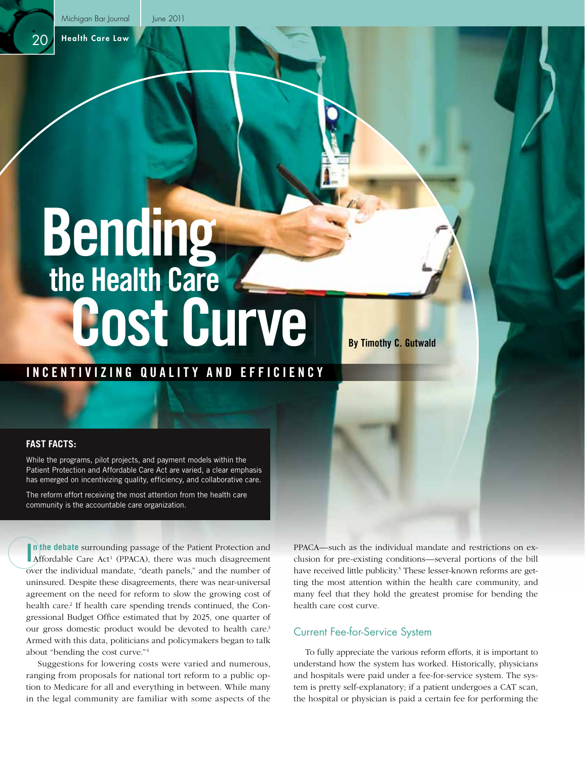Health Care Law

 $2<sup>c</sup>$ 

# **Bending the Health Care Cost Curve**

# **INCENTIVIZING QUALITY AND EFFICIENCY**

#### **FAST FACTS:**

While the programs, pilot projects, and payment models within the Patient Protection and Affordable Care Act are varied, a clear emphasis has emerged on incentivizing quality, efficiency, and collaborative care.

The reform effort receiving the most attention from the health care community is the accountable care organization.

**I**n the debate surrounding passage of the Patient Protection and Affordable Care Act<sup>1</sup> (PPACA), there was much disagreement **n** the debate surrounding passage of the Patient Protection and over the individual mandate, "death panels," and the number of uninsured. Despite these disagreements, there was near-universal agreement on the need for reform to slow the growing cost of health care.<sup>2</sup> If health care spending trends continued, the Congressional Budget Office estimated that by 2025, one quarter of our gross domestic product would be devoted to health care.3 Armed with this data, politicians and policymakers began to talk about "bending the cost curve."4

Suggestions for lowering costs were varied and numerous, ranging from proposals for national tort reform to a public option to Medicare for all and everything in between. While many in the legal community are familiar with some aspects of the

PPACA—such as the individual mandate and restrictions on exclusion for pre-existing conditions—several portions of the bill have received little publicity.<sup>5</sup> These lesser-known reforms are getting the most attention within the health care community, and many feel that they hold the greatest promise for bending the health care cost curve.

**By Timothy C. Gutwald**

# Current Fee-for-Service System

To fully appreciate the various reform efforts, it is important to understand how the system has worked. Historically, physicians and hospitals were paid under a fee-for-service system. The system is pretty self-explanatory; if a patient undergoes a CAT scan, the hospital or physician is paid a certain fee for performing the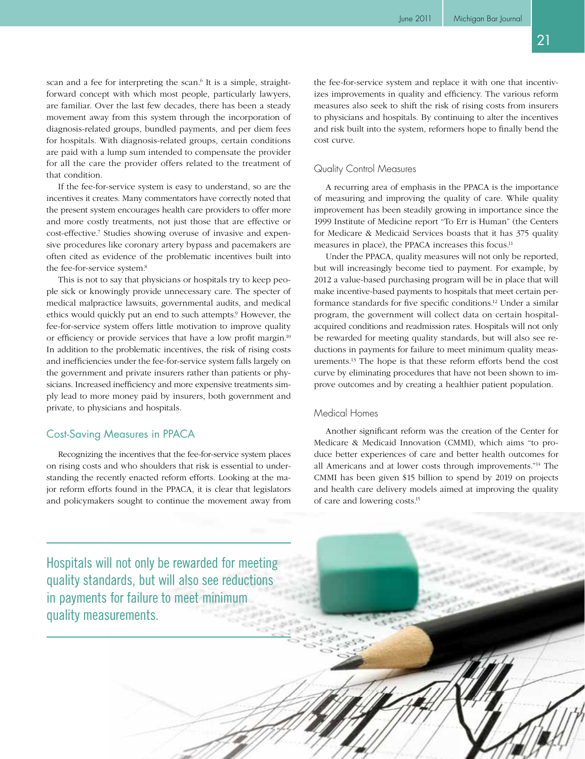scan and a fee for interpreting the scan.<sup>6</sup> It is a simple, straightforward concept with which most people, particularly lawyers, are familiar. Over the last few decades, there has been a steady movement away from this system through the incorporation of diagnosis-related groups, bundled payments, and per diem fees for hospitals. With diagnosis-related groups, certain conditions are paid with a lump sum intended to compensate the provider for all the care the provider offers related to the treatment of that condition.

If the fee-for-service system is easy to understand, so are the incentives it creates. Many commentators have correctly noted that the present system encourages health care providers to offer more and more costly treatments, not just those that are effective or cost-effective.<sup>7</sup> Studies showing overuse of invasive and expensive procedures like coronary artery bypass and pacemakers are often cited as evidence of the problematic incentives built into the fee-for-service system.<sup>8</sup>

This is not to say that physicians or hospitals try to keep people sick or knowingly provide unnecessary care. The specter of medical malpractice lawsuits, governmental audits, and medical ethics would quickly put an end to such attempts.<sup>9</sup> However, the fee-for-service system offers little motivation to improve quality or efficiency or provide services that have a low profit margin.<sup>10</sup> In addition to the problematic incentives, the risk of rising costs and inefficiencies under the fee-for-service system falls largely on the government and private insurers rather than patients or physicians. Increased inefficiency and more expensive treatments simply lead to more money paid by insurers, both government and private, to physicians and hospitals.

# Cost-Saving Measures in PPACA

Recognizing the incentives that the fee-for-service system places on rising costs and who shoulders that risk is essential to understanding the recently enacted reform efforts. Looking at the major reform efforts found in the PPACA, it is clear that legislators and policymakers sought to continue the movement away from the fee-for-service system and replace it with one that incentivizes improvements in quality and efficiency. The various reform measures also seek to shift the risk of rising costs from insurers to physicians and hospitals. By continuing to alter the incentives and risk built into the system, reformers hope to finally bend the cost curve.

#### Quality Control Measures

A recurring area of emphasis in the PPACA is the importance of measuring and improving the quality of care. While quality improvement has been steadily growing in importance since the 1999 Institute of Medicine report "To Err is Human" (the Centers for Medicare & Medicaid Services boasts that it has 375 quality measures in place), the PPACA increases this focus.<sup>11</sup>

Under the PPACA, quality measures will not only be reported, but will increasingly become tied to payment. For example, by 2012 a value-based purchasing program will be in place that will make incentive-based payments to hospitals that meet certain performance standards for five specific conditions.<sup>12</sup> Under a similar program, the government will collect data on certain hospitalacquired conditions and readmission rates. Hospitals will not only be rewarded for meeting quality standards, but will also see reductions in payments for failure to meet minimum quality measurements.13 The hope is that these reform efforts bend the cost curve by eliminating procedures that have not been shown to improve outcomes and by creating a healthier patient population.

#### Medical Homes

Another significant reform was the creation of the Center for Medicare & Medicaid Innovation (CMMI), which aims "to produce better experiences of care and better health outcomes for all Americans and at lower costs through improvements."14 The CMMI has been given \$15 billion to spend by 2019 on projects and health care delivery models aimed at improving the quality of care and lowering costs.15

Hospitals will not only be rewarded for meeting quality standards, but will also see reductions in payments for failure to meet minimum quality measurements.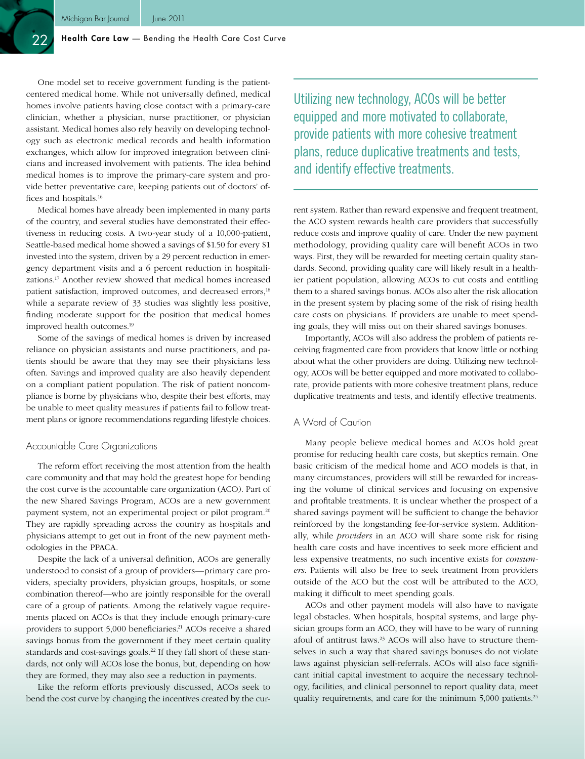#### Health Care Law - Bending the Health Care Cost Curve

One model set to receive government funding is the patientcentered medical home. While not universally defined, medical homes involve patients having close contact with a primary-care clinician, whether a physician, nurse practitioner, or physician assistant. Medical homes also rely heavily on developing technology such as electronic medical records and health information exchanges, which allow for improved integration between clinicians and increased involvement with patients. The idea behind medical homes is to improve the primary-care system and provide better preventative care, keeping patients out of doctors' offices and hospitals.<sup>16</sup>

Medical homes have already been implemented in many parts of the country, and several studies have demonstrated their effectiveness in reducing costs. A two-year study of a 10,000-patient, Seattle-based medical home showed a savings of \$1.50 for every \$1 invested into the system, driven by a 29 percent reduction in emergency department visits and a 6 percent reduction in hospitalizations.17 Another review showed that medical homes increased patient satisfaction, improved outcomes, and decreased errors,<sup>18</sup> while a separate review of 33 studies was slightly less positive, finding moderate support for the position that medical homes improved health outcomes.19

Some of the savings of medical homes is driven by increased reliance on physician assistants and nurse practitioners, and patients should be aware that they may see their physicians less often. Savings and improved quality are also heavily dependent on a compliant patient population. The risk of patient noncompliance is borne by physicians who, despite their best efforts, may be unable to meet quality measures if patients fail to follow treatment plans or ignore recommendations regarding lifestyle choices.

#### Accountable Care Organizations

The reform effort receiving the most attention from the health care community and that may hold the greatest hope for bending the cost curve is the accountable care organization (ACO). Part of the new Shared Savings Program, ACOs are a new government payment system, not an experimental project or pilot program.20 They are rapidly spreading across the country as hospitals and physicians attempt to get out in front of the new payment methodologies in the PPACA.

Despite the lack of a universal definition, ACOs are generally understood to consist of a group of providers—primary care providers, specialty providers, physician groups, hospitals, or some combination thereof—who are jointly responsible for the overall care of a group of patients. Among the relatively vague requirements placed on ACOs is that they include enough primary-care providers to support 5,000 beneficiaries.<sup>21</sup> ACOs receive a shared savings bonus from the government if they meet certain quality standards and cost-savings goals.<sup>22</sup> If they fall short of these standards, not only will ACOs lose the bonus, but, depending on how they are formed, they may also see a reduction in payments.

Like the reform efforts previously discussed, ACOs seek to bend the cost curve by changing the incentives created by the curUtilizing new technology, ACOs will be better equipped and more motivated to collaborate, provide patients with more cohesive treatment plans, reduce duplicative treatments and tests, and identify effective treatments.

rent system. Rather than reward expensive and frequent treatment, the ACO system rewards health care providers that successfully reduce costs and improve quality of care. Under the new payment methodology, providing quality care will benefit ACOs in two ways. First, they will be rewarded for meeting certain quality standards. Second, providing quality care will likely result in a healthier patient population, allowing ACOs to cut costs and entitling them to a shared savings bonus. ACOs also alter the risk allocation in the present system by placing some of the risk of rising health care costs on physicians. If providers are unable to meet spending goals, they will miss out on their shared savings bonuses.

Importantly, ACOs will also address the problem of patients receiving fragmented care from providers that know little or nothing about what the other providers are doing. Utilizing new technology, ACOs will be better equipped and more motivated to collaborate, provide patients with more cohesive treatment plans, reduce duplicative treatments and tests, and identify effective treatments.

#### A Word of Caution

Many people believe medical homes and ACOs hold great promise for reducing health care costs, but skeptics remain. One basic criticism of the medical home and ACO models is that, in many circumstances, providers will still be rewarded for increasing the volume of clinical services and focusing on expensive and profitable treatments. It is unclear whether the prospect of a shared savings payment will be sufficient to change the behavior reinforced by the longstanding fee-for-service system. Additionally, while *providers* in an ACO will share some risk for rising health care costs and have incentives to seek more efficient and less expensive treatments, no such incentive exists for *consumers*. Patients will also be free to seek treatment from providers outside of the ACO but the cost will be attributed to the ACO, making it difficult to meet spending goals.

ACOs and other payment models will also have to navigate legal obstacles. When hospitals, hospital systems, and large physician groups form an ACO, they will have to be wary of running afoul of antitrust laws.<sup>23</sup> ACOs will also have to structure themselves in such a way that shared savings bonuses do not violate laws against physician self-referrals. ACOs will also face significant initial capital investment to acquire the necessary technology, facilities, and clinical personnel to report quality data, meet quality requirements, and care for the minimum 5,000 patients.<sup>24</sup>